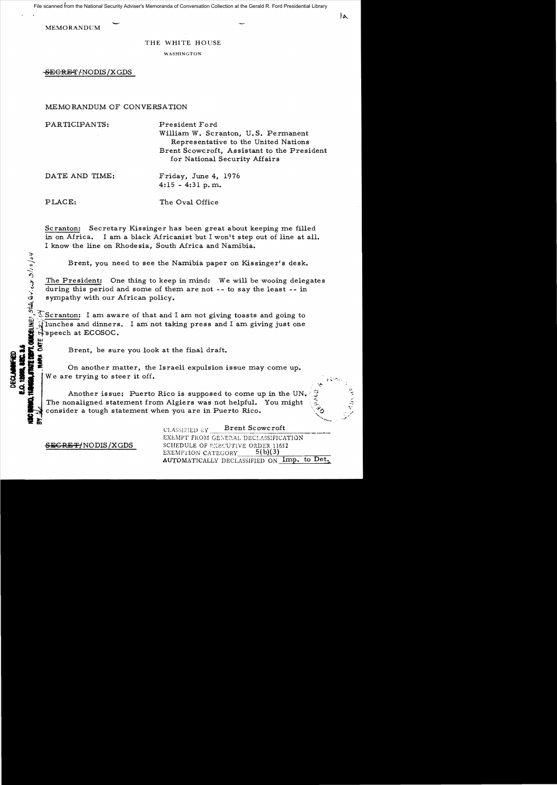File scanned from the National Security Adviser's Memoranda of Conversation Collection at the Gerald R. Ford Presidential Library

**MEMORANDUM** 

#### THE WHITE HOUSE

WASHINGTON

<del>SEGRET/</del>NODIS/XGDS

## MEMORANDUM OF CONVERSATION

PARTICIPANTS: President Ford William W. Scranton, U. S. Permanent Representative to the United Nations Brent Scowcroft. Assistant to the President for National Security Affairs DATE AND TIME: Friday, June 4, 1976  $4:15 - 4:31 \text{ p.m.}$ PLACE: The Oval Office

Scranton: Secretary Kissinger has been great about keeping me filled in on Africa. I am a black Africanist but I won't step out of line at all. I know the line on Rhodesia. South Africa and Namibia.

Brent. you need to see the Namibia paper on Kissinger's desk.

The President: One thing to keep in mind: We will be wooing delegates during this period and some of them are not -- to say the least -- in sympathy with our African policy.

 $\delta$  Scranton: I am aware of that and I am not giving toasts and going to Hunches and dinners. I am not taking press and I am giving just one<br>  $\frac{1}{1}$  speech at ECOSOC. N Speech at ECOSOC.<br>ਘ<br>ਫ਼ Brent, be sure you look at the final draft.

**11111 -** On another matter, the Israeli expulsion issue may come up. We are trying to steer it off.

Another issue: Puerto Rico is supposed to come up in the UN. The nonaligned statement from Algiers was not helpful. You might consider a tough statement when you are in Puerto Rico.<br> **II Report Secure reference**<br> **II II II II II III III III III III III III III III III III III III III III III III III I** 

CLASSIFIED BY Brent Scowcroft EXEMPT FROM GENERAL DECLASSIFICATION **SEGRET/NODIS/XGDS** SCHEDULE OF EXECUTIVE ORDER 11652<br>EXEMPTION CATEGORY 5(b)(3) AUTOMATICALLY DECLASSIFIED ON Imp. to Det.

 $\sin Q$ vico  $3/2/2/84$ 

~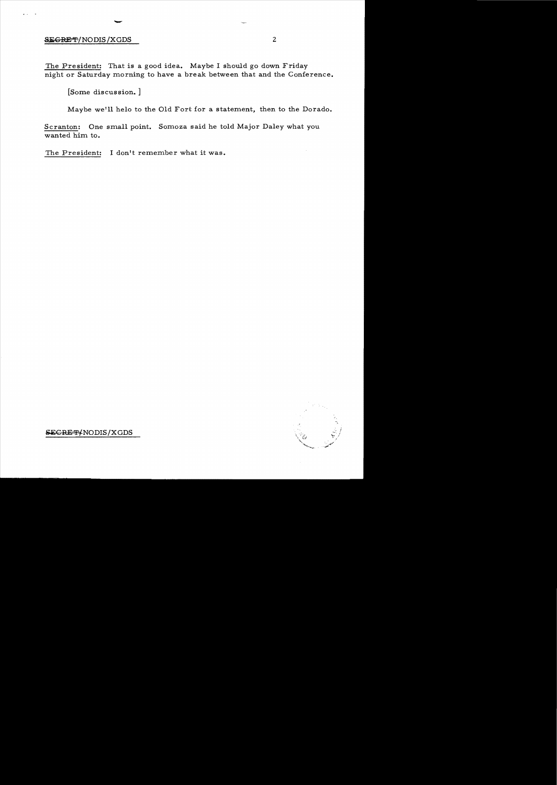# SEGRET/NODIS/XGDS

 $\ddot{\phantom{a}}$ 

The President: That is a good idea. Maybe I should go down Friday night or Saturday morning to have a break between that and the Conference.

[Some discussion.]

-

Maybe we'll helo to the Old Fort for a statement, then to the Dorado.

Scranton: One small point. Somoza said he told Major Daley what you wanted him to.

The President: I don't remember what it was.



**SEGRET/NODIS/XGDS**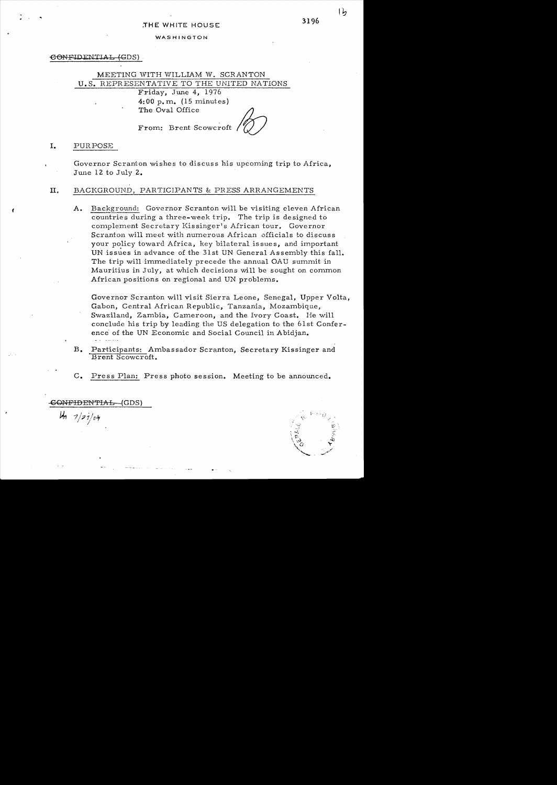### $\epsilon$ ONFIDENTIAL (GDS)

# MEETING WITH WILLIAM W. SCRANTON U. S. REPRESENTATIVE TO THE UNITED NATIONS

Friday, June 4, 1976 4:00 p. m. (15 minutes) The Oval Office

From: Brent Scowcroft

I. PURPOSE

Governor Scranton wishes to discuss his upcoming trip to Africa, June 12 to July 2.

## II. BACKGROUND, PARTICIPANTS & PRESS ARRANGEMENTS

A. Background: Governor Scranton will be visiting eleven African countries during a three-week trip. The trip is designed to complement Secretary Kissinger's African tour. Governor Scranton will meet with numerous African officials to discuss your policy toward Africa, key bilateral is sues, and important UN issues in advance of the 31st UN General Assembly this fall. The trip will immediately precede the annual OAU summit in Mauritius in July, at which decisions will be sought on common African positions on regional and UN problems.

Governor Scranton will visit Sierra Leone, Senegal, Upper Volta, Gabon, Central African Republic, Tanzania, Mozambique, Swaziland, Zambia, Cameroon, and the. Ivory Coast. He will conclude his trip by leading the US delegation to the 61st Conference' of the UN Economic and Social Council in Abidjan.

- B. Participants: Ambassador Scranton, Secretary Kissinger and Brent Scowcroft.
- C. Press Plan: Press photo session. Meeting to be announced.

CC»~FIDENTLAL -(GDS)

 $u_n$   $\frac{1}{2}i$ 

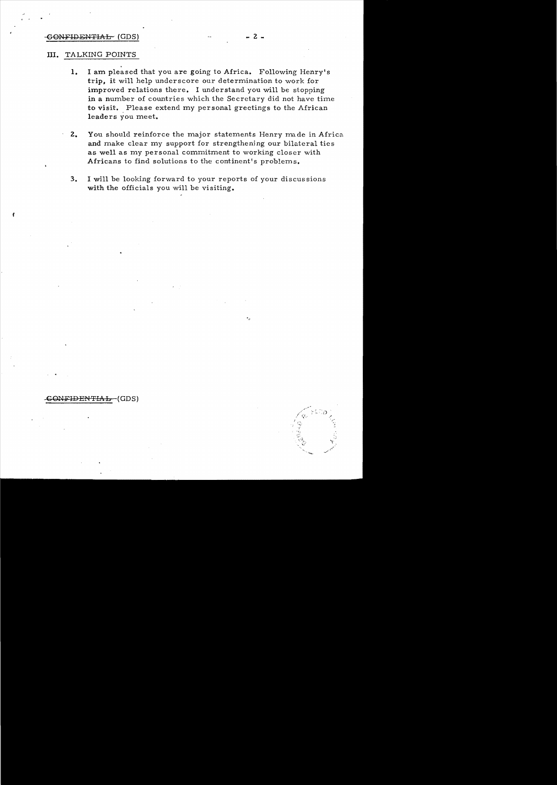### $GONFIDENTHAH (GDS)$   $-2$

### **III.**  TALKING POINTS

*t* 

- 1. I am pleased that you are going to Africa. Following Henry's trip, it will help underscore our determination to work for improved relations there. I understand you will be stopping in a number of countries which the Secretary did not have time to visit. Please extend my personal greetings to the African leaders you meet.
- . **2.**  You should reinforce the major statements Henry made in Africa and make clear my support for strengthenjng our bilateral ties as well as my personal commitment to working closer with Africans to find solutions to the continent's problems.
- **3. I** will be looking forward to your reports of your discus sions with the officials you will be visiting.

### GONFIDENTIAL (GDS)